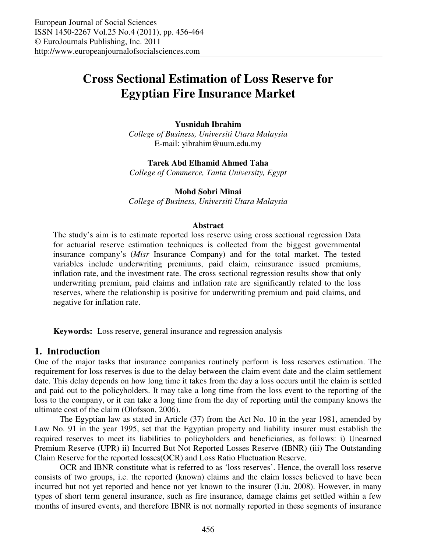# **Cross Sectional Estimation of Loss Reserve for Egyptian Fire Insurance Market**

#### **Yusnidah Ibrahim**

*College of Business, Universiti Utara Malaysia*  E-mail: yibrahim@uum.edu.my

#### **Tarek Abd Elhamid Ahmed Taha**

*College of Commerce, Tanta University, Egypt* 

## **Mohd Sobri Minai**

*College of Business, Universiti Utara Malaysia* 

#### **Abstract**

The study's aim is to estimate reported loss reserve using cross sectional regression Data for actuarial reserve estimation techniques is collected from the biggest governmental insurance company's (*Misr* Insurance Company) and for the total market. The tested variables include underwriting premiums, paid claim, reinsurance issued premiums, inflation rate, and the investment rate. The cross sectional regression results show that only underwriting premium, paid claims and inflation rate are significantly related to the loss reserves, where the relationship is positive for underwriting premium and paid claims, and negative for inflation rate.

**Keywords:** Loss reserve, general insurance and regression analysis

#### **1. Introduction**

One of the major tasks that insurance companies routinely perform is loss reserves estimation. The requirement for loss reserves is due to the delay between the claim event date and the claim settlement date. This delay depends on how long time it takes from the day a loss occurs until the claim is settled and paid out to the policyholders. It may take a long time from the loss event to the reporting of the loss to the company, or it can take a long time from the day of reporting until the company knows the ultimate cost of the claim (Olofsson, 2006).

The Egyptian law as stated in Article (37) from the Act No. 10 in the year 1981, amended by Law No. 91 in the year 1995, set that the Egyptian property and liability insurer must establish the required reserves to meet its liabilities to policyholders and beneficiaries, as follows: i) Unearned Premium Reserve (UPR) ii) Incurred But Not Reported Losses Reserve (IBNR) (iii) The Outstanding Claim Reserve for the reported losses(OCR) and Loss Ratio Fluctuation Reserve.

OCR and IBNR constitute what is referred to as 'loss reserves'. Hence, the overall loss reserve consists of two groups, i.e. the reported (known) claims and the claim losses believed to have been incurred but not yet reported and hence not yet known to the insurer (Liu, 2008). However, in many types of short term general insurance, such as fire insurance, damage claims get settled within a few months of insured events, and therefore IBNR is not normally reported in these segments of insurance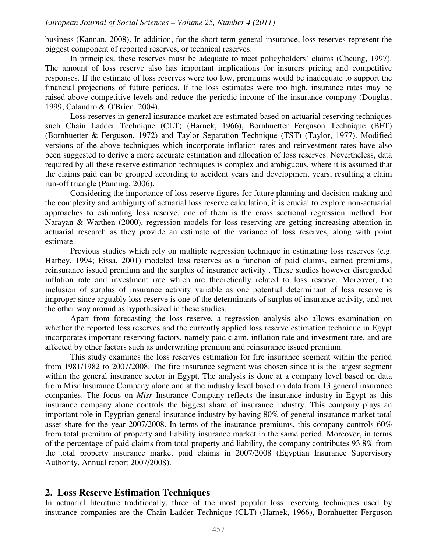#### *European Journal of Social Sciences – Volume 25, Number 4 (2011)*

business (Kannan, 2008). In addition, for the short term general insurance, loss reserves represent the biggest component of reported reserves, or technical reserves.

In principles, these reserves must be adequate to meet policyholders' claims (Cheung, 1997). The amount of loss reserve also has important implications for insurers pricing and competitive responses. If the estimate of loss reserves were too low, premiums would be inadequate to support the financial projections of future periods. If the loss estimates were too high, insurance rates may be raised above competitive levels and reduce the periodic income of the insurance company (Douglas, 1999; Calandro & O'Brien, 2004).

Loss reserves in general insurance market are estimated based on actuarial reserving techniques such Chain Ladder Technique (CLT) (Harnek, 1966), Bornhuetter Ferguson Technique (BFT) (Bornhuetter & Ferguson, 1972) and Taylor Separation Technique (TST) (Taylor, 1977). Modified versions of the above techniques which incorporate inflation rates and reinvestment rates have also been suggested to derive a more accurate estimation and allocation of loss reserves. Nevertheless, data required by all these reserve estimation techniques is complex and ambiguous, where it is assumed that the claims paid can be grouped according to accident years and development years, resulting a claim run-off triangle (Panning, 2006).

Considering the importance of loss reserve figures for future planning and decision-making and the complexity and ambiguity of actuarial loss reserve calculation, it is crucial to explore non-actuarial approaches to estimating loss reserve, one of them is the cross sectional regression method. For Narayan & Warthen (2000), regression models for loss reserving are getting increasing attention in actuarial research as they provide an estimate of the variance of loss reserves, along with point estimate.

Previous studies which rely on multiple regression technique in estimating loss reserves (e.g. Harbey, 1994; Eissa, 2001) modeled loss reserves as a function of paid claims, earned premiums, reinsurance issued premium and the surplus of insurance activity . These studies however disregarded inflation rate and investment rate which are theoretically related to loss reserve. Moreover, the inclusion of surplus of insurance activity variable as one potential determinant of loss reserve is improper since arguably loss reserve is one of the determinants of surplus of insurance activity, and not the other way around as hypothesized in these studies.

Apart from forecasting the loss reserve, a regression analysis also allows examination on whether the reported loss reserves and the currently applied loss reserve estimation technique in Egypt incorporates important reserving factors, namely paid claim, inflation rate and investment rate, and are affected by other factors such as underwriting premium and reinsurance issued premium.

This study examines the loss reserves estimation for fire insurance segment within the period from 1981/1982 to 2007/2008. The fire insurance segment was chosen since it is the largest segment within the general insurance sector in Egypt. The analysis is done at a company level based on data from Misr Insurance Company alone and at the industry level based on data from 13 general insurance companies. The focus on *Misr* Insurance Company reflects the insurance industry in Egypt as this insurance company alone controls the biggest share of insurance industry. This company plays an important role in Egyptian general insurance industry by having 80% of general insurance market total asset share for the year 2007/2008. In terms of the insurance premiums, this company controls 60% from total premium of property and liability insurance market in the same period. Moreover, in terms of the percentage of paid claims from total property and liability, the company contributes 93.8% from the total property insurance market paid claims in 2007/2008 (Egyptian Insurance Supervisory Authority, Annual report 2007/2008).

# **2. Loss Reserve Estimation Techniques**

In actuarial literature traditionally, three of the most popular loss reserving techniques used by insurance companies are the Chain Ladder Technique (CLT) (Harnek, 1966), Bornhuetter Ferguson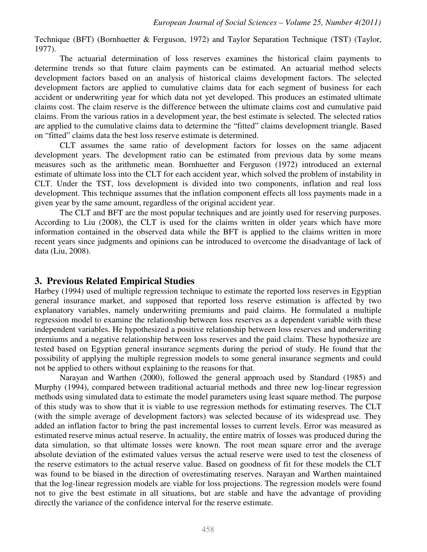Technique (BFT) (Bornhuetter & Ferguson, 1972) and Taylor Separation Technique (TST) (Taylor, 1977).

The actuarial determination of loss reserves examines the historical claim payments to determine trends so that future claim payments can be estimated. An actuarial method selects development factors based on an analysis of historical claims development factors. The selected development factors are applied to cumulative claims data for each segment of business for each accident or underwriting year for which data not yet developed. This produces an estimated ultimate claims cost. The claim reserve is the difference between the ultimate claims cost and cumulative paid claims. From the various ratios in a development year, the best estimate is selected. The selected ratios are applied to the cumulative claims data to determine the "fitted" claims development triangle. Based on "fitted" claims data the best loss reserve estimate is determined.

CLT assumes the same ratio of development factors for losses on the same adjacent development years. The development ratio can be estimated from previous data by some means measures such as the arithmetic mean. Bornhuetter and Ferguson (1972) introduced an external estimate of ultimate loss into the CLT for each accident year, which solved the problem of instability in CLT. Under the TST, loss development is divided into two components, inflation and real loss development. This technique assumes that the inflation component effects all loss payments made in a given year by the same amount, regardless of the original accident year.

The CLT and BFT are the most popular techniques and are jointly used for reserving purposes. According to Liu (2008), the CLT is used for the claims written in older years which have more information contained in the observed data while the BFT is applied to the claims written in more recent years since judgments and opinions can be introduced to overcome the disadvantage of lack of data (Liu, 2008).

# **3. Previous Related Empirical Studies**

Harbey (1994) used of multiple regression technique to estimate the reported loss reserves in Egyptian general insurance market, and supposed that reported loss reserve estimation is affected by two explanatory variables, namely underwriting premiums and paid claims. He formulated a multiple regression model to examine the relationship between loss reserves as a dependent variable with these independent variables. He hypothesized a positive relationship between loss reserves and underwriting premiums and a negative relationship between loss reserves and the paid claim. These hypothesize are tested based on Egyptian general insurance segments during the period of study. He found that the possibility of applying the multiple regression models to some general insurance segments and could not be applied to others without explaining to the reasons for that.

Narayan and Warthen (2000), followed the general approach used by Standard (1985) and Murphy (1994), compared between traditional actuarial methods and three new log-linear regression methods using simulated data to estimate the model parameters using least square method. The purpose of this study was to show that it is viable to use regression methods for estimating reserves. The CLT (with the simple average of development factors) was selected because of its widespread use. They added an inflation factor to bring the past incremental losses to current levels. Error was measured as estimated reserve minus actual reserve. In actuality, the entire matrix of losses was produced during the data simulation, so that ultimate losses were known. The root mean square error and the average absolute deviation of the estimated values versus the actual reserve were used to test the closeness of the reserve estimators to the actual reserve value. Based on goodness of fit for these models the CLT was found to be biased in the direction of overestimating reserves. Narayan and Warthen maintained that the log-linear regression models are viable for loss projections. The regression models were found not to give the best estimate in all situations, but are stable and have the advantage of providing directly the variance of the confidence interval for the reserve estimate.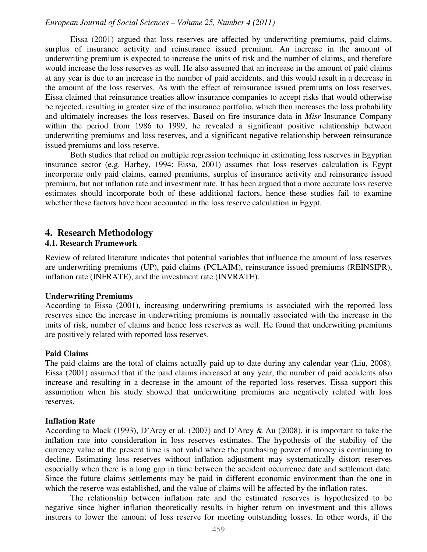## *European Journal of Social Sciences – Volume 25, Number 4 (2011)*

Eissa (2001) argued that loss reserves are affected by underwriting premiums, paid claims, surplus of insurance activity and reinsurance issued premium. An increase in the amount of underwriting premium is expected to increase the units of risk and the number of claims, and therefore would increase the loss reserves as well. He also assumed that an increase in the amount of paid claims at any year is due to an increase in the number of paid accidents, and this would result in a decrease in the amount of the loss reserves. As with the effect of reinsurance issued premiums on loss reserves, Eissa claimed that reinsurance treaties allow insurance companies to accept risks that would otherwise be rejected, resulting in greater size of the insurance portfolio, which then increases the loss probability and ultimately increases the loss reserves. Based on fire insurance data in *Misr* Insurance Company within the period from 1986 to 1999, he revealed a significant positive relationship between underwriting premiums and loss reserves, and a significant negative relationship between reinsurance issued premiums and loss reserve.

Both studies that relied on multiple regression technique in estimating loss reserves in Egyptian insurance sector (e.g. Harbey, 1994; Eissa, 2001) assumes that loss reserves calculation is Egypt incorporate only paid claims, earned premiums, surplus of insurance activity and reinsurance issued premium, but not inflation rate and investment rate. It has been argued that a more accurate loss reserve estimates should incorporate both of these additional factors, hence these studies fail to examine whether these factors have been accounted in the loss reserve calculation in Egypt.

# **4. Research Methodology**

## **4.1. Research Framework**

Review of related literature indicates that potential variables that influence the amount of loss reserves are underwriting premiums (UP), paid claims (PCLAIM), reinsurance issued premiums (REINSIPR), inflation rate (INFRATE), and the investment rate (INVRATE).

#### **Underwriting Premiums**

According to Eissa (2001), increasing underwriting premiums is associated with the reported loss reserves since the increase in underwriting premiums is normally associated with the increase in the units of risk, number of claims and hence loss reserves as well. He found that underwriting premiums are positively related with reported loss reserves.

#### **Paid Claims**

The paid claims are the total of claims actually paid up to date during any calendar year (Liu, 2008). Eissa (2001) assumed that if the paid claims increased at any year, the number of paid accidents also increase and resulting in a decrease in the amount of the reported loss reserves. Eissa support this assumption when his study showed that underwriting premiums are negatively related with loss reserves.

#### **Inflation Rate**

According to Mack (1993), D'Arcy et al. (2007) and D'Arcy & Au (2008), it is important to take the inflation rate into consideration in loss reserves estimates. The hypothesis of the stability of the currency value at the present time is not valid where the purchasing power of money is continuing to decline. Estimating loss reserves without inflation adjustment may systematically distort reserves especially when there is a long gap in time between the accident occurrence date and settlement date. Since the future claims settlements may be paid in different economic environment than the one in which the reserve was established, and the value of claims will be affected by the inflation rates.

The relationship between inflation rate and the estimated reserves is hypothesized to be negative since higher inflation theoretically results in higher return on investment and this allows insurers to lower the amount of loss reserve for meeting outstanding losses. In other words, if the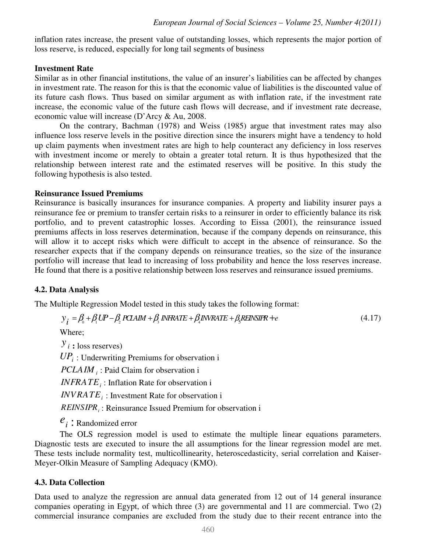inflation rates increase, the present value of outstanding losses, which represents the major portion of loss reserve, is reduced, especially for long tail segments of business

## **Investment Rate**

Similar as in other financial institutions, the value of an insurer's liabilities can be affected by changes in investment rate. The reason for this is that the economic value of liabilities is the discounted value of its future cash flows. Thus based on similar argument as with inflation rate, if the investment rate increase, the economic value of the future cash flows will decrease, and if investment rate decrease, economic value will increase (D'Arcy & Au, 2008.

On the contrary, Bachman (1978) and Weiss (1985) argue that investment rates may also influence loss reserve levels in the positive direction since the insurers might have a tendency to hold up claim payments when investment rates are high to help counteract any deficiency in loss reserves with investment income or merely to obtain a greater total return. It is thus hypothesized that the relationship between interest rate and the estimated reserves will be positive. In this study the following hypothesis is also tested.

## **Reinsurance Issued Premiums**

Reinsurance is basically insurances for insurance companies. A property and liability insurer pays a reinsurance fee or premium to transfer certain risks to a reinsurer in order to efficiently balance its risk portfolio, and to prevent catastrophic losses. According to Eissa (2001), the reinsurance issued premiums affects in loss reserves determination, because if the company depends on reinsurance, this will allow it to accept risks which were difficult to accept in the absence of reinsurance. So the researcher expects that if the company depends on reinsurance treaties, so the size of the insurance portfolio will increase that lead to increasing of loss probability and hence the loss reserves increase. He found that there is a positive relationship between loss reserves and reinsurance issued premiums.

# **4.2. Data Analysis**

The Multiple Regression Model tested in this study takes the following format:

$$
y_i = \beta_0 + \beta_1 UP - \beta_2 PCAAM + \beta_3 INFRATE + \beta_4 INRATE + \beta_5 RENSIPR + e
$$
\n(4.17)

Where;

 $y_i$  : loss reserves) *UP<sup>i</sup>* : Underwriting Premiums for observation i *PCLAIM <sup>i</sup>* : Paid Claim for observation i *i INFRATE* : Inflation Rate for observation i *i INVRATE* : Investment Rate for observation i *REINSIPR<sup>i</sup>* : Reinsurance Issued Premium for observation i

*i e* : Randomized error

The OLS regression model is used to estimate the multiple linear equations parameters. Diagnostic tests are executed to insure the all assumptions for the linear regression model are met. These tests include normality test, multicollinearity, heteroscedasticity, serial correlation and Kaiser-Meyer-Olkin Measure of Sampling Adequacy (KMO).

# **4.3. Data Collection**

Data used to analyze the regression are annual data generated from 12 out of 14 general insurance companies operating in Egypt, of which three (3) are governmental and 11 are commercial. Two (2) commercial insurance companies are excluded from the study due to their recent entrance into the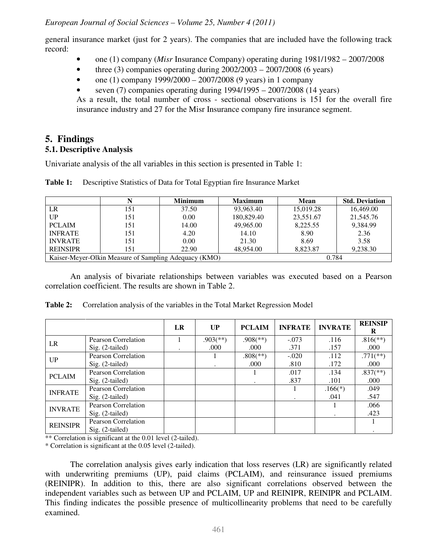general insurance market (just for 2 years). The companies that are included have the following track record:

- one (1) company (*Misr* Insurance Company) operating during  $1981/1982 2007/2008$
- three (3) companies operating during  $2002/2003 2007/2008$  (6 years)
- one (1) company  $1999/2000 2007/2008$  (9 years) in 1 company
- seven (7) companies operating during 1994/1995 2007/2008 (14 years)

As a result, the total number of cross - sectional observations is 151 for the overall fire insurance industry and 27 for the Misr Insurance company fire insurance segment.

# **5. Findings**

# **5.1. Descriptive Analysis**

Univariate analysis of the all variables in this section is presented in Table 1:

|                                                       |     | <b>Minimum</b> | <b>Maximum</b> | Mean      | <b>Std. Deviation</b> |
|-------------------------------------------------------|-----|----------------|----------------|-----------|-----------------------|
| LR                                                    | 151 | 37.50          | 93,963.40      | 15,019.28 | 16,469.00             |
| UP                                                    | 151 | 0.00           | 180,829.40     | 23,551.67 | 21,545.76             |
| <b>PCLAIM</b>                                         | 151 | 14.00          | 49,965.00      | 8,225.55  | 9,384.99              |
| <b>INFRATE</b>                                        | 151 | 4.20           | 14.10          | 8.90      | 2.36                  |
| <b>INVRATE</b>                                        | 151 | 0.00           | 21.30          | 8.69      | 3.58                  |
| <b>REINSIPR</b>                                       | 151 | 22.90          | 48,954.00      | 8.823.87  | 9,238.30              |
| Kaiser-Meyer-Olkin Measure of Sampling Adequacy (KMO) |     |                |                | 0.784     |                       |

**Table 1:** Descriptive Statistics of Data for Total Egyptian fire Insurance Market

An analysis of bivariate relationships between variables was executed based on a Pearson correlation coefficient. The results are shown in Table 2.

|                 |                            | LR | UP                       | <b>PCLAIM</b>            | <b>INFRATE</b> | <b>INVRATE</b> | <b>REINSIP</b><br>R      |
|-----------------|----------------------------|----|--------------------------|--------------------------|----------------|----------------|--------------------------|
| LR              | Pearson Correlation        |    | $.903$ <sup>(**)</sup> ) | $.908$ <sup>(**)</sup> ) | $-.073$        | .116           | $.816$ <sup>**</sup> )   |
|                 | Sig. (2-tailed)            |    | .000                     | .000                     | .371           | .157           | .000                     |
| UP              | Pearson Correlation        |    |                          | $.808$ <sup>(**)</sup> ) | $-.020$        | .112           | $.771$ <sup>(**)</sup> ) |
|                 | Sig. (2-tailed)            |    |                          | .000                     | .810           | .172           | .000                     |
| <b>PCLAIM</b>   | Pearson Correlation        |    |                          |                          | .017           | .134           | $.837$ <sup>(**)</sup> ) |
|                 | Sig. (2-tailed)            |    |                          |                          | .837           | .101           | .000                     |
| <b>INFRATE</b>  | Pearson Correlation        |    |                          |                          |                | $.166(*)$      | .049                     |
|                 | $Sig. (2-tailed)$          |    |                          |                          |                | .041           | .547                     |
| <b>INVRATE</b>  | Pearson Correlation        |    |                          |                          |                |                | .066                     |
|                 | Sig. (2-tailed)            |    |                          |                          |                |                | .423                     |
| <b>REINSIPR</b> | <b>Pearson Correlation</b> |    |                          |                          |                |                |                          |
|                 | Sig. (2-tailed)            |    |                          |                          |                |                |                          |

**Table 2:** Correlation analysis of the variables in the Total Market Regression Model

 $**$  Correlation is significant at the 0.01 level (2-tailed).

\* Correlation is significant at the 0.05 level (2-tailed).

The correlation analysis gives early indication that loss reserves (LR) are significantly related with underwriting premiums (UP), paid claims (PCLAIM), and reinsurance issued premiums (REINIPR). In addition to this, there are also significant correlations observed between the independent variables such as between UP and PCLAIM, UP and REINIPR, REINIPR and PCLAIM. This finding indicates the possible presence of multicollinearity problems that need to be carefully examined.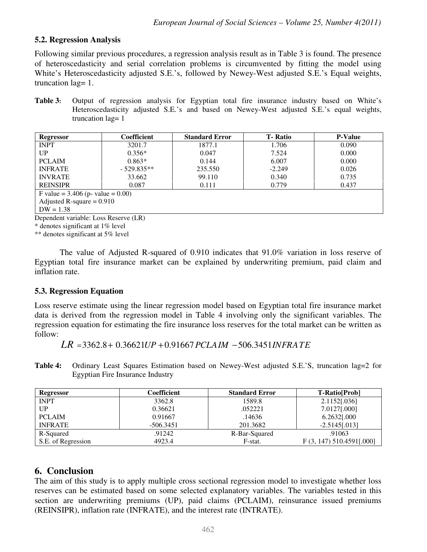# **5.2. Regression Analysis**

Following similar previous procedures, a regression analysis result as in Table 3 is found. The presence of heteroscedasticity and serial correlation problems is circumvented by fitting the model using White's Heteroscedasticity adjusted S.E.'s, followed by Newey-West adjusted S.E.'s Equal weights, truncation lag= 1.

**Table 3:** Output of regression analysis for Egyptian total fire insurance industry based on White's Heteroscedasticity adjusted S.E.'s and based on Newey-West adjusted S.E.'s equal weights, truncation lag= 1

| Regressor                           | Coefficient  | <b>Standard Error</b> | <b>T</b> -Ratio | <b>P-Value</b> |  |  |
|-------------------------------------|--------------|-----------------------|-----------------|----------------|--|--|
| <b>INPT</b>                         | 3201.7       | 1877.1                | 1.706           | 0.090          |  |  |
| UP                                  | $0.356*$     | 0.047                 | 7.524           | 0.000          |  |  |
| <b>PCLAIM</b>                       | $0.863*$     | 0.144                 | 6.007           | 0.000          |  |  |
| <b>INFRATE</b>                      | $-529.835**$ | 235.550               | $-2.249$        | 0.026          |  |  |
| <b>INVRATE</b>                      | 33.662       | 99.110                | 0.340           | 0.735          |  |  |
| <b>REINSIPR</b>                     | 0.087        | 0.111                 | 0.779           | 0.437          |  |  |
| F value = $3.406$ (p- value = 0.00) |              |                       |                 |                |  |  |
| Adjusted R-square $= 0.910$         |              |                       |                 |                |  |  |
| $DW = 1.38$                         |              |                       |                 |                |  |  |

Dependent variable: Loss Reserve (LR)

\* denotes significant at 1% level

\*\* denotes significant at 5% level

The value of Adjusted R-squared of 0.910 indicates that 91.0% variation in loss reserve of Egyptian total fire insurance market can be explained by underwriting premium, paid claim and inflation rate.

# **5.3. Regression Equation**

Loss reserve estimate using the linear regression model based on Egyptian total fire insurance market data is derived from the regression model in Table 4 involving only the significant variables. The regression equation for estimating the fire insurance loss reserves for the total market can be written as follow:

 $LR = 3362.8 + 0.36621 UP + 0.91667 PCLAIM - 506.3451 INFRATE$ 

**Table 4:** Ordinary Least Squares Estimation based on Newey-West adjusted S.E.'S, truncation lag=2 for Egyptian Fire Insurance Industry

| Regressor          | Coefficient | <b>Standard Error</b> | <b>T-Ratio</b> [Prob]      |
|--------------------|-------------|-----------------------|----------------------------|
| <b>INPT</b>        | 3362.8      | 1589.8                | 2.1152[.036]               |
| UP                 | 0.36621     | .052221               | 7.0127[.000]               |
| <b>PCLAIM</b>      | 0.91667     | .14636                | 6.2632[.000                |
| <b>INFRATE</b>     | $-506.3451$ | 201.3682              | $-2.5145[.013]$            |
| R-Squared          | .91242      | R-Bar-Squared         | .91063                     |
| S.E. of Regression | 4923.4      | F-stat.               | $F(3, 147)$ 510.4591[.000] |

# **6. Conclusion**

The aim of this study is to apply multiple cross sectional regression model to investigate whether loss reserves can be estimated based on some selected explanatory variables. The variables tested in this section are underwriting premiums (UP), paid claims (PCLAIM), reinsurance issued premiums (REINSIPR), inflation rate (INFRATE), and the interest rate (INTRATE).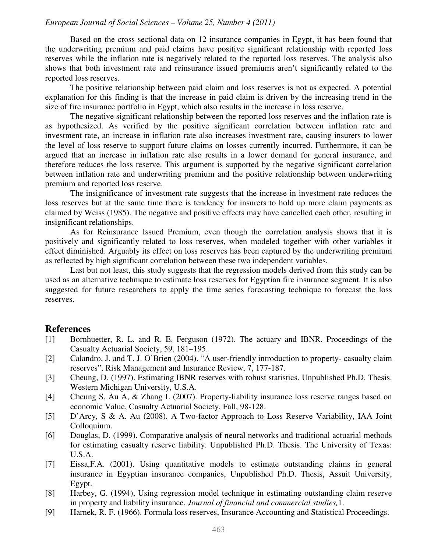#### *European Journal of Social Sciences – Volume 25, Number 4 (2011)*

Based on the cross sectional data on 12 insurance companies in Egypt, it has been found that the underwriting premium and paid claims have positive significant relationship with reported loss reserves while the inflation rate is negatively related to the reported loss reserves. The analysis also shows that both investment rate and reinsurance issued premiums aren't significantly related to the reported loss reserves.

The positive relationship between paid claim and loss reserves is not as expected. A potential explanation for this finding is that the increase in paid claim is driven by the increasing trend in the size of fire insurance portfolio in Egypt, which also results in the increase in loss reserve.

The negative significant relationship between the reported loss reserves and the inflation rate is as hypothesized. As verified by the positive significant correlation between inflation rate and investment rate, an increase in inflation rate also increases investment rate, causing insurers to lower the level of loss reserve to support future claims on losses currently incurred. Furthermore, it can be argued that an increase in inflation rate also results in a lower demand for general insurance, and therefore reduces the loss reserve. This argument is supported by the negative significant correlation between inflation rate and underwriting premium and the positive relationship between underwriting premium and reported loss reserve.

The insignificance of investment rate suggests that the increase in investment rate reduces the loss reserves but at the same time there is tendency for insurers to hold up more claim payments as claimed by Weiss (1985). The negative and positive effects may have cancelled each other, resulting in insignificant relationships.

As for Reinsurance Issued Premium, even though the correlation analysis shows that it is positively and significantly related to loss reserves, when modeled together with other variables it effect diminished. Arguably its effect on loss reserves has been captured by the underwriting premium as reflected by high significant correlation between these two independent variables.

Last but not least, this study suggests that the regression models derived from this study can be used as an alternative technique to estimate loss reserves for Egyptian fire insurance segment. It is also suggested for future researchers to apply the time series forecasting technique to forecast the loss reserves.

# **References**

- [1] Bornhuetter, R. L. and R. E. Ferguson (1972). The actuary and IBNR. Proceedings of the Casualty Actuarial Society, 59, 181–195.
- [2] Calandro, J. and T. J. O'Brien (2004). "A user-friendly introduction to property- casualty claim reserves", Risk Management and Insurance Review, 7, 177-187.
- [3] Cheung, D. (1997). Estimating IBNR reserves with robust statistics. Unpublished Ph.D. Thesis. Western Michigan University, U.S.A.
- [4] Cheung S, Au A, & Zhang L (2007). Property-liability insurance loss reserve ranges based on economic Value, Casualty Actuarial Society, Fall, 98-128.
- [5] D'Arcy, S & A. Au (2008). A Two-factor Approach to Loss Reserve Variability, IAA Joint Colloquium.
- [6] Douglas, D. (1999). Comparative analysis of neural networks and traditional actuarial methods for estimating casualty reserve liability. Unpublished Ph.D. Thesis. The University of Texas: U.S.A.
- [7] Eissa,F.A. (2001). Using quantitative models to estimate outstanding claims in general insurance in Egyptian insurance companies, Unpublished Ph.D. Thesis, Assuit University, Egypt.
- [8] Harbey, G. (1994), Using regression model technique in estimating outstanding claim reserve in property and liability insurance, *Journal of financial and commercial studies,*1.
- [9] Harnek, R. F. (1966). Formula loss reserves, Insurance Accounting and Statistical Proceedings.